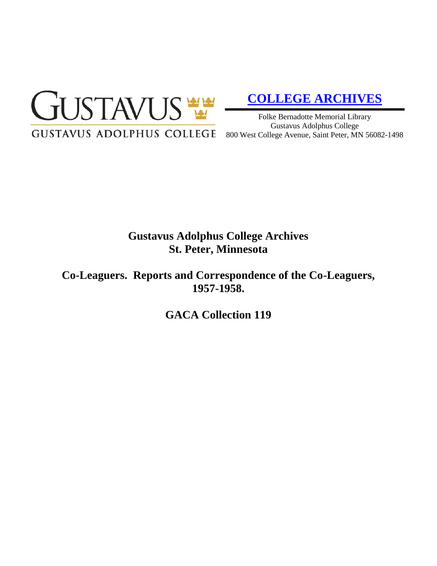

# **[COLLEGE ARCHIVES](http://gustavus.edu/academics/library/archives/)**

Folke Bernadotte Memorial Library Gustavus Adolphus College 800 West College Avenue, Saint Peter, MN 56082-1498

# **Gustavus Adolphus College Archives St. Peter, Minnesota**

**Co-Leaguers. Reports and Correspondence of the Co-Leaguers, 1957-1958.**

**GACA Collection 119**